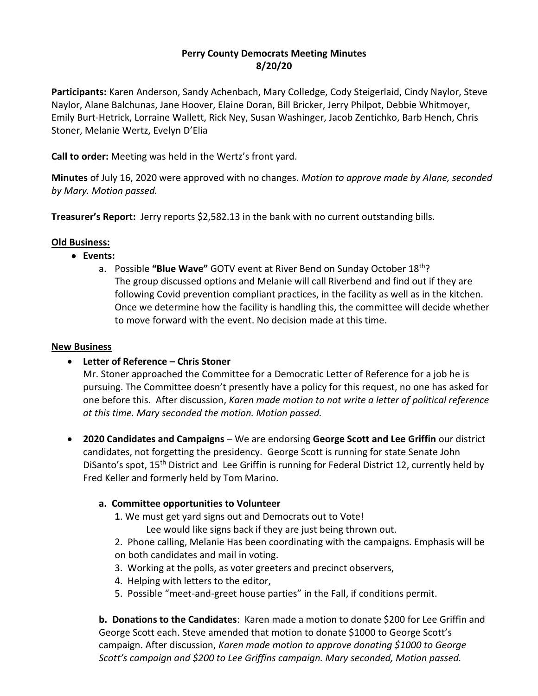# **Perry County Democrats Meeting Minutes 8/20/20**

**Participants:** Karen Anderson, Sandy Achenbach, Mary Colledge, Cody Steigerlaid, Cindy Naylor, Steve Naylor, Alane Balchunas, Jane Hoover, Elaine Doran, Bill Bricker, Jerry Philpot, Debbie Whitmoyer, Emily Burt-Hetrick, Lorraine Wallett, Rick Ney, Susan Washinger, Jacob Zentichko, Barb Hench, Chris Stoner, Melanie Wertz, Evelyn D'Elia

**Call to order:** Meeting was held in the Wertz's front yard.

**Minutes** of July 16, 2020 were approved with no changes. *Motion to approve made by Alane, seconded by Mary. Motion passed.*

**Treasurer's Report:** Jerry reports \$2,582.13 in the bank with no current outstanding bills.

# **Old Business:**

- **Events:**
	- a. Possible **"Blue Wave"** GOTV event at River Bend on Sunday October 18th? The group discussed options and Melanie will call Riverbend and find out if they are following Covid prevention compliant practices, in the facility as well as in the kitchen. Once we determine how the facility is handling this, the committee will decide whether to move forward with the event. No decision made at this time.

### **New Business**

# • **Letter of Reference – Chris Stoner**

Mr. Stoner approached the Committee for a Democratic Letter of Reference for a job he is pursuing. The Committee doesn't presently have a policy for this request, no one has asked for one before this. After discussion, *Karen made motion to not write a letter of political reference at this time. Mary seconded the motion. Motion passed.*

• **2020 Candidates and Campaigns** – We are endorsing **George Scott and Lee Griffin** our district candidates, not forgetting the presidency. George Scott is running for state Senate John DiSanto's spot, 15<sup>th</sup> District and Lee Griffin is running for Federal District 12, currently held by Fred Keller and formerly held by Tom Marino.

# **a. Committee opportunities to Volunteer**

- **1**. We must get yard signs out and Democrats out to Vote!
	- Lee would like signs back if they are just being thrown out.
- 2. Phone calling, Melanie Has been coordinating with the campaigns. Emphasis will be on both candidates and mail in voting.
- 3. Working at the polls, as voter greeters and precinct observers,
- 4. Helping with letters to the editor,
- 5. Possible "meet-and-greet house parties" in the Fall, if conditions permit.

**b. Donations to the Candidates**: Karen made a motion to donate \$200 for Lee Griffin and George Scott each. Steve amended that motion to donate \$1000 to George Scott's campaign. After discussion, *Karen made motion to approve donating \$1000 to George Scott's campaign and \$200 to Lee Griffins campaign. Mary seconded, Motion passed.*